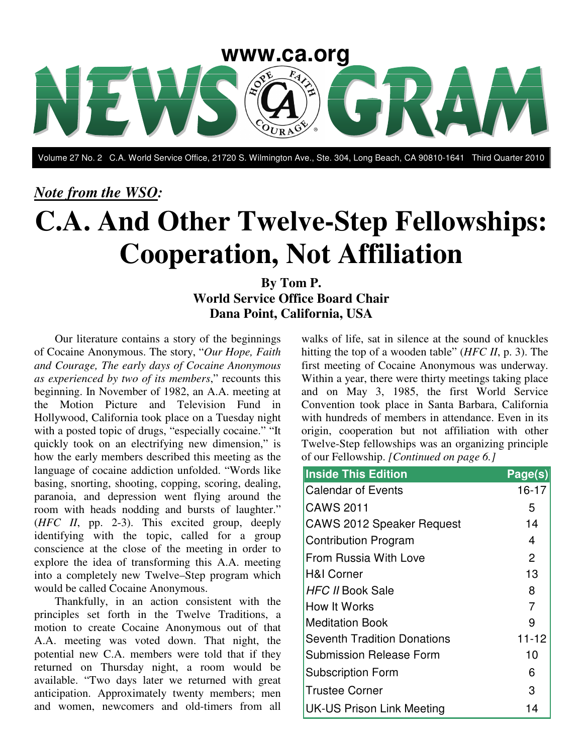

Volume 27 No. 2 C.A. World Service Office, 21720 S. Wilmington Ave., Ste. 304, Long Beach, CA 90810-1641 Third Quarter 2010

#### *Note from the WSO:*

# **C.A. And Other Twelve-Step Fellowships: Cooperation, Not Affiliation**

#### **By Tom P. World Service Office Board Chair Dana Point, California, USA**

Our literature contains a story of the beginnings of Cocaine Anonymous. The story, "*Our Hope, Faith and Courage, The early days of Cocaine Anonymous as experienced by two of its members*," recounts this beginning. In November of 1982, an A.A. meeting at the Motion Picture and Television Fund in Hollywood, California took place on a Tuesday night with a posted topic of drugs, "especially cocaine." "It quickly took on an electrifying new dimension," is how the early members described this meeting as the language of cocaine addiction unfolded. "Words like basing, snorting, shooting, copping, scoring, dealing, paranoia, and depression went flying around the room with heads nodding and bursts of laughter." (*HFC II*, pp. 2-3). This excited group, deeply identifying with the topic, called for a group conscience at the close of the meeting in order to explore the idea of transforming this A.A. meeting into a completely new Twelve–Step program which would be called Cocaine Anonymous.

Thankfully, in an action consistent with the principles set forth in the Twelve Traditions, a motion to create Cocaine Anonymous out of that A.A. meeting was voted down. That night, the potential new C.A. members were told that if they returned on Thursday night, a room would be available. "Two days later we returned with great anticipation. Approximately twenty members; men and women, newcomers and old-timers from all

walks of life, sat in silence at the sound of knuckles hitting the top of a wooden table" (*HFC II*, p. 3). The first meeting of Cocaine Anonymous was underway. Within a year, there were thirty meetings taking place and on May 3, 1985, the first World Service Convention took place in Santa Barbara, California with hundreds of members in attendance. Even in its origin, cooperation but not affiliation with other Twelve-Step fellowships was an organizing principle of our Fellowship. *[Continued on page 6.]*

| <b>Inside This Edition</b>         | Page(s)        |
|------------------------------------|----------------|
| <b>Calendar of Events</b>          | $16 - 17$      |
| <b>CAWS 2011</b>                   | 5              |
| <b>CAWS 2012 Speaker Request</b>   | 14             |
| <b>Contribution Program</b>        | 4              |
| From Russia With Love              | 2              |
| <b>H&amp;I Corner</b>              | 13             |
| <b>HFC II Book Sale</b>            | 8              |
| How It Works                       | $\overline{7}$ |
| <b>Meditation Book</b>             | 9              |
| <b>Seventh Tradition Donations</b> | $11 - 12$      |
| <b>Submission Release Form</b>     | 10             |
| <b>Subscription Form</b>           | 6              |
| <b>Trustee Corner</b>              | 3              |
| <b>UK-US Prison Link Meeting</b>   | 14             |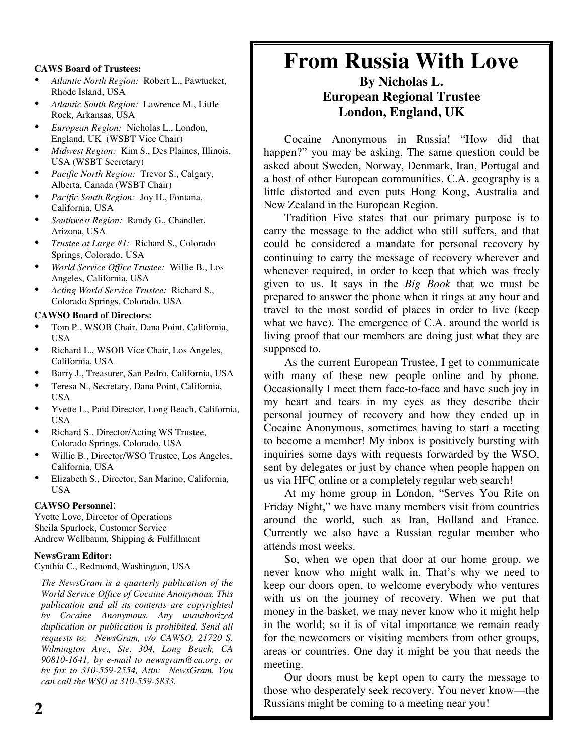#### **CAWS Board of Trustees:**

- *Atlantic North Region:* Robert L., Pawtucket, Rhode Island, USA
- *Atlantic South Region:* Lawrence M., Little Rock, Arkansas, USA
- *European Region:* Nicholas L., London, England, UK (WSBT Vice Chair)
- *Midwest Region:* Kim S., Des Plaines, Illinois, USA (WSBT Secretary)
- *Pacific North Region:* Trevor S., Calgary, Alberta, Canada (WSBT Chair)
- *Pacific South Region:* Joy H., Fontana, California, USA
- *Southwest Region:* Randy G., Chandler, Arizona, USA
- *Trustee at Large #1:* Richard S., Colorado Springs, Colorado, USA
- *World Service Office Trustee:* Willie B., Los Angeles, California, USA
- *Acting World Service Trustee:* Richard S., Colorado Springs, Colorado, USA

#### **CAWSO Board of Directors:**

- Tom P., WSOB Chair, Dana Point, California, USA
- Richard L., WSOB Vice Chair, Los Angeles, California, USA
- Barry J., Treasurer, San Pedro, California, USA
- Teresa N., Secretary, Dana Point, California, USA
- Yvette L., Paid Director, Long Beach, California, USA
- Richard S., Director/Acting WS Trustee, Colorado Springs, Colorado, USA
- Willie B., Director/WSO Trustee, Los Angeles, California, USA
- Elizabeth S., Director, San Marino, California, **IISA**

#### **CAWSO Personnel**:

Yvette Love, Director of Operations Sheila Spurlock, Customer Service Andrew Wellbaum, Shipping & Fulfillment

#### **NewsGram Editor:**

Cynthia C., Redmond, Washington, USA

*The NewsGram is a quarterly publication of the World Service Office of Cocaine Anonymous. This publication and all its contents are copyrighted by Cocaine Anonymous. Any unauthorized duplication or publication is prohibited. Send all requests to: NewsGram, c/o CAWSO, 21720 S. Wilmington Ave., Ste. 304, Long Beach, CA 90810-1641, by e-mail to newsgram@ca.org, or by fax to 310-559-2554, Attn: NewsGram. You can call the WSO at 310-559-5833.*

## **From Russia With Love**

#### **By Nicholas L. European Regional Trustee London, England, UK**

Cocaine Anonymous in Russia! "How did that happen?" you may be asking. The same question could be asked about Sweden, Norway, Denmark, Iran, Portugal and a host of other European communities. C.A. geography is a little distorted and even puts Hong Kong, Australia and New Zealand in the European Region.

Tradition Five states that our primary purpose is to carry the message to the addict who still suffers, and that could be considered a mandate for personal recovery by continuing to carry the message of recovery wherever and whenever required, in order to keep that which was freely given to us. It says in the *Big Book* that we must be prepared to answer the phone when it rings at any hour and travel to the most sordid of places in order to live (keep what we have). The emergence of C.A. around the world is living proof that our members are doing just what they are supposed to.

As the current European Trustee, I get to communicate with many of these new people online and by phone. Occasionally I meet them face-to-face and have such joy in my heart and tears in my eyes as they describe their personal journey of recovery and how they ended up in Cocaine Anonymous, sometimes having to start a meeting to become a member! My inbox is positively bursting with inquiries some days with requests forwarded by the WSO, sent by delegates or just by chance when people happen on us via HFC online or a completely regular web search!

At my home group in London, "Serves You Rite on Friday Night," we have many members visit from countries around the world, such as Iran, Holland and France. Currently we also have a Russian regular member who attends most weeks.

So, when we open that door at our home group, we never know who might walk in. That's why we need to keep our doors open, to welcome everybody who ventures with us on the journey of recovery. When we put that money in the basket, we may never know who it might help in the world; so it is of vital importance we remain ready for the newcomers or visiting members from other groups, areas or countries. One day it might be you that needs the meeting.

Our doors must be kept open to carry the message to those who desperately seek recovery. You never know—the Russians might be coming to a meeting near you!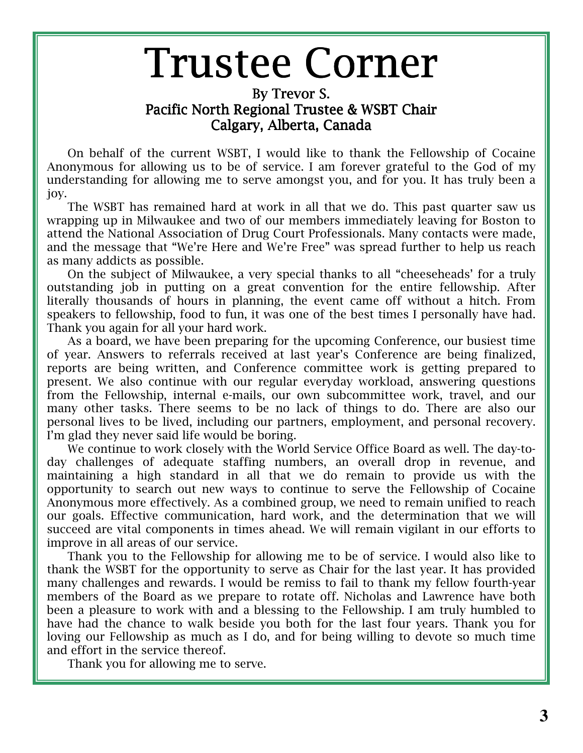# **Trustee Corner**

#### By Trevor S. Pacific North Regional Trustee & WSBT Chair Calgary, Alberta, Canada

On behalf of the current WSBT, I would like to thank the Fellowship of Cocaine Anonymous for allowing us to be of service. I am forever grateful to the God of my understanding for allowing me to serve amongst you, and for you. It has truly been a joy.

The WSBT has remained hard at work in all that we do. This past quarter saw us wrapping up in Milwaukee and two of our members immediately leaving for Boston to attend the National Association of Drug Court Professionals. Many contacts were made, and the message that "We're Here and We're Free" was spread further to help us reach as many addicts as possible.

On the subject of Milwaukee, a very special thanks to all "cheeseheads' for a truly outstanding job in putting on a great convention for the entire fellowship. After literally thousands of hours in planning, the event came off without a hitch. From speakers to fellowship, food to fun, it was one of the best times I personally have had. Thank you again for all your hard work.

As a board, we have been preparing for the upcoming Conference, our busiest time of year. Answers to referrals received at last year's Conference are being finalized, reports are being written, and Conference committee work is getting prepared to present. We also continue with our regular everyday workload, answering questions from the Fellowship, internal e-mails, our own subcommittee work, travel, and our many other tasks. There seems to be no lack of things to do. There are also our personal lives to be lived, including our partners, employment, and personal recovery. I'm glad they never said life would be boring.

We continue to work closely with the World Service Office Board as well. The day-today challenges of adequate staffing numbers, an overall drop in revenue, and maintaining a high standard in all that we do remain to provide us with the opportunity to search out new ways to continue to serve the Fellowship of Cocaine Anonymous more effectively. As a combined group, we need to remain unified to reach our goals. Effective communication, hard work, and the determination that we will succeed are vital components in times ahead. We will remain vigilant in our efforts to improve in all areas of our service.

Thank you to the Fellowship for allowing me to be of service. I would also like to thank the WSBT for the opportunity to serve as Chair for the last year. It has provided many challenges and rewards. I would be remiss to fail to thank my fellow fourth-year members of the Board as we prepare to rotate off. Nicholas and Lawrence have both been a pleasure to work with and a blessing to the Fellowship. I am truly humbled to have had the chance to walk beside you both for the last four years. Thank you for loving our Fellowship as much as I do, and for being willing to devote so much time and effort in the service thereof.

Thank you for allowing me to serve.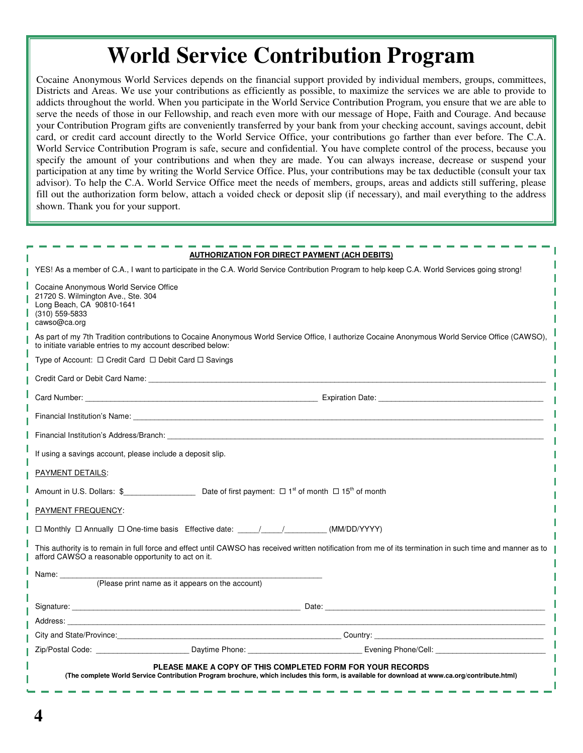## **World Service Contribution Program**

Cocaine Anonymous World Services depends on the financial support provided by individual members, groups, committees, Districts and Areas. We use your contributions as efficiently as possible, to maximize the services we are able to provide to addicts throughout the world. When you participate in the World Service Contribution Program, you ensure that we are able to serve the needs of those in our Fellowship, and reach even more with our message of Hope, Faith and Courage. And because your Contribution Program gifts are conveniently transferred by your bank from your checking account, savings account, debit card, or credit card account directly to the World Service Office, your contributions go farther than ever before. The C.A. World Service Contribution Program is safe, secure and confidential. You have complete control of the process, because you specify the amount of your contributions and when they are made. You can always increase, decrease or suspend your participation at any time by writing the World Service Office. Plus, your contributions may be tax deductible (consult your tax advisor). To help the C.A. World Service Office meet the needs of members, groups, areas and addicts still suffering, please fill out the authorization form below, attach a voided check or deposit slip (if necessary), and mail everything to the address shown. Thank you for your support.

|                                                                                                                                                                                                                                |                                                  | <b>AUTHORIZATION FOR DIRECT PAYMENT (ACH DEBITS)</b>                                                                                                                                                                          |
|--------------------------------------------------------------------------------------------------------------------------------------------------------------------------------------------------------------------------------|--------------------------------------------------|-------------------------------------------------------------------------------------------------------------------------------------------------------------------------------------------------------------------------------|
|                                                                                                                                                                                                                                |                                                  | YES! As a member of C.A., I want to participate in the C.A. World Service Contribution Program to help keep C.A. World Services going strong!                                                                                 |
| Cocaine Anonymous World Service Office<br>21720 S. Wilmington Ave., Ste. 304<br>Long Beach, CA 90810-1641<br>(310) 559-5833<br>cawso@ca.org                                                                                    |                                                  |                                                                                                                                                                                                                               |
| to initiate variable entries to my account described below:                                                                                                                                                                    |                                                  | As part of my 7th Tradition contributions to Cocaine Anonymous World Service Office, I authorize Cocaine Anonymous World Service Office (CAWSO),                                                                              |
| Type of Account: $\Box$ Credit Card $\Box$ Debit Card $\Box$ Savings                                                                                                                                                           |                                                  |                                                                                                                                                                                                                               |
|                                                                                                                                                                                                                                |                                                  |                                                                                                                                                                                                                               |
|                                                                                                                                                                                                                                |                                                  |                                                                                                                                                                                                                               |
| Financial Institution's Name: The Contract of the Contract of the Contract of the Contract of the Contract of the Contract of the Contract of the Contract of the Contract of the Contract of the Contract of the Contract of  |                                                  |                                                                                                                                                                                                                               |
| Financial Institution's Address/Branch: The Contract of the Contract of the Contract of the Contract of the Contract of the Contract of the Contract of the Contract of the Contract of the Contract of the Contract of the Co |                                                  |                                                                                                                                                                                                                               |
| If using a savings account, please include a deposit slip.                                                                                                                                                                     |                                                  |                                                                                                                                                                                                                               |
| PAYMENT DETAILS:                                                                                                                                                                                                               |                                                  |                                                                                                                                                                                                                               |
|                                                                                                                                                                                                                                |                                                  |                                                                                                                                                                                                                               |
| PAYMENT FREQUENCY:                                                                                                                                                                                                             |                                                  |                                                                                                                                                                                                                               |
| □ Monthly □ Annually □ One-time basis Effective date: ____/____/___________(MM/DD/YYYY)                                                                                                                                        |                                                  |                                                                                                                                                                                                                               |
| afford CAWSO a reasonable opportunity to act on it.                                                                                                                                                                            |                                                  | This authority is to remain in full force and effect until CAWSO has received written notification from me of its termination in such time and manner as to                                                                   |
| Name: ___________                                                                                                                                                                                                              |                                                  |                                                                                                                                                                                                                               |
|                                                                                                                                                                                                                                | (Please print name as it appears on the account) |                                                                                                                                                                                                                               |
|                                                                                                                                                                                                                                |                                                  |                                                                                                                                                                                                                               |
|                                                                                                                                                                                                                                |                                                  |                                                                                                                                                                                                                               |
|                                                                                                                                                                                                                                |                                                  |                                                                                                                                                                                                                               |
|                                                                                                                                                                                                                                |                                                  | Zip/Postal Code: Communication of Contract Contract Daytime Phone: Communication Contract Code: Communication Contract Daytime Phone: Communication Contract Contract Contract Daytime Phone: Communication Contract Contract |
|                                                                                                                                                                                                                                |                                                  | PLEASE MAKE A COPY OF THIS COMPLETED FORM FOR YOUR RECORDS<br>(The complete World Service Contribution Program brochure, which includes this form, is available for download at www.ca.org/contribute.html)                   |
|                                                                                                                                                                                                                                |                                                  |                                                                                                                                                                                                                               |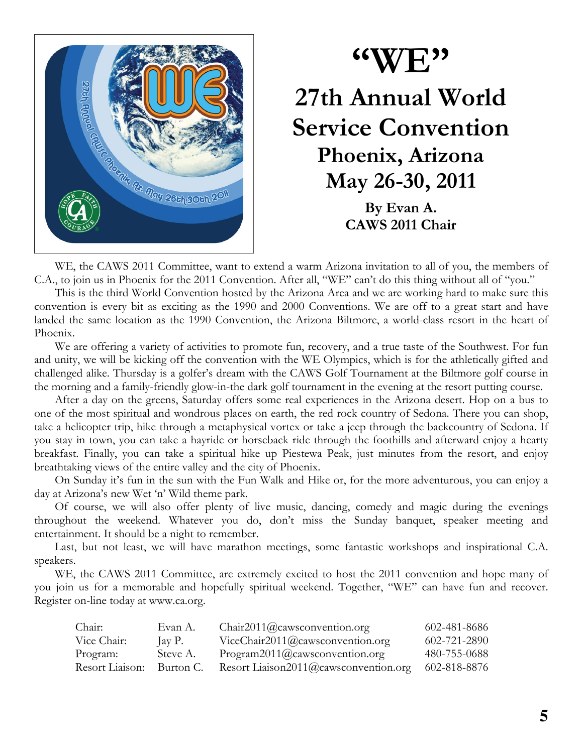

## $\rm ^{c}$  WE  $\rm ^{2}$ 27th Annual World **Service Convention** Phoenix, Arizona May 26-30, 2011 By Evan A. **CAWS 2011 Chair**

WE, the CAWS 2011 Committee, want to extend a warm Arizona invitation to all of you, the members of C.A., to join us in Phoenix for the 2011 Convention. After all, "WE" can't do this thing without all of "you."

This is the third World Convention hosted by the Arizona Area and we are working hard to make sure this convention is every bit as exciting as the 1990 and 2000 Conventions. We are off to a great start and have landed the same location as the 1990 Convention, the Arizona Biltmore, a world-class resort in the heart of Phoenix.

We are offering a variety of activities to promote fun, recovery, and a true taste of the Southwest. For fun and unity, we will be kicking off the convention with the WE Olympics, which is for the athletically gifted and challenged alike. Thursday is a golfer's dream with the CAWS Golf Tournament at the Biltmore golf course in the morning and a family-friendly glow-in-the dark golf tournament in the evening at the resort putting course.

After a day on the greens, Saturday offers some real experiences in the Arizona desert. Hop on a bus to one of the most spiritual and wondrous places on earth, the red rock country of Sedona. There you can shop, take a helicopter trip, hike through a metaphysical vortex or take a jeep through the backcountry of Sedona. If you stay in town, you can take a hayride or horseback ride through the foothills and afterward enjoy a hearty breakfast. Finally, you can take a spiritual hike up Piestewa Peak, just minutes from the resort, and enjoy breathtaking views of the entire valley and the city of Phoenix.

On Sunday it's fun in the sun with the Fun Walk and Hike or, for the more adventurous, you can enjoy a day at Arizona's new Wet 'n' Wild theme park.

Of course, we will also offer plenty of live music, dancing, comedy and magic during the evenings throughout the weekend. Whatever you do, don't miss the Sunday banquet, speaker meeting and entertainment. It should be a night to remember.

Last, but not least, we will have marathon meetings, some fantastic workshops and inspirational C.A. speakers.

WE, the CAWS 2011 Committee, are extremely excited to host the 2011 convention and hope many of you join us for a memorable and hopefully spiritual weekend. Together, "WE" can have fun and recover. Register on-line today at www.ca.org.

| Chair:          | Evan A.   | Chair2011@caws convention.org         | 602-481-8686 |
|-----------------|-----------|---------------------------------------|--------------|
| Vice Chair:     | Jay P.    | ViceChair2011@cawsconvention.org      | 602-721-2890 |
| Program:        | Steve A.  | Program2011@caws convention.org       | 480-755-0688 |
| Resort Liaison: | Burton C. | Resort Liaison2011@cawsconvention.org | 602-818-8876 |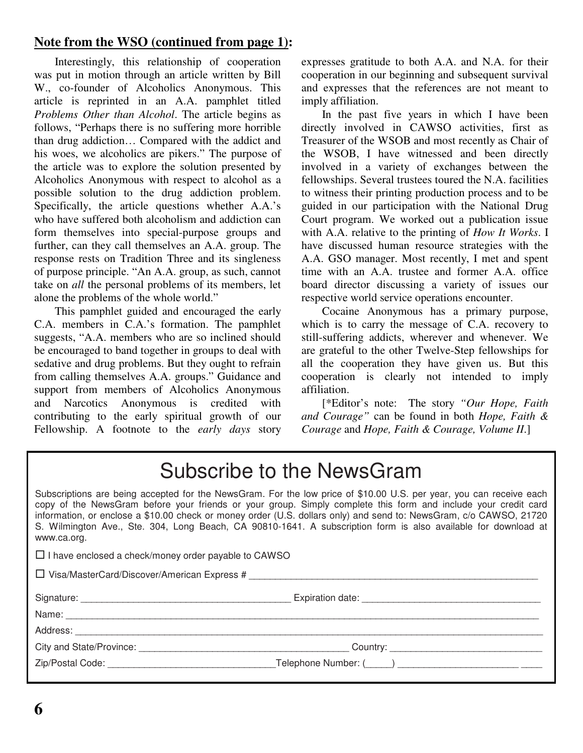#### **Note from the WSO (continued from page 1):**

Interestingly, this relationship of cooperation was put in motion through an article written by Bill W., co-founder of Alcoholics Anonymous. This article is reprinted in an A.A. pamphlet titled *Problems Other than Alcohol*. The article begins as follows, "Perhaps there is no suffering more horrible than drug addiction… Compared with the addict and his woes, we alcoholics are pikers." The purpose of the article was to explore the solution presented by Alcoholics Anonymous with respect to alcohol as a possible solution to the drug addiction problem. Specifically, the article questions whether A.A.'s who have suffered both alcoholism and addiction can form themselves into special-purpose groups and further, can they call themselves an A.A. group. The response rests on Tradition Three and its singleness of purpose principle. "An A.A. group, as such, cannot take on *all* the personal problems of its members, let alone the problems of the whole world."

This pamphlet guided and encouraged the early C.A. members in C.A.'s formation. The pamphlet suggests, "A.A. members who are so inclined should be encouraged to band together in groups to deal with sedative and drug problems. But they ought to refrain from calling themselves A.A. groups." Guidance and support from members of Alcoholics Anonymous and Narcotics Anonymous is credited with contributing to the early spiritual growth of our Fellowship. A footnote to the *early days* story expresses gratitude to both A.A. and N.A. for their cooperation in our beginning and subsequent survival and expresses that the references are not meant to imply affiliation.

In the past five years in which I have been directly involved in CAWSO activities, first as Treasurer of the WSOB and most recently as Chair of the WSOB, I have witnessed and been directly involved in a variety of exchanges between the fellowships. Several trustees toured the N.A. facilities to witness their printing production process and to be guided in our participation with the National Drug Court program. We worked out a publication issue with A.A. relative to the printing of *How It Works*. I have discussed human resource strategies with the A.A. GSO manager. Most recently, I met and spent time with an A.A. trustee and former A.A. office board director discussing a variety of issues our respective world service operations encounter.

Cocaine Anonymous has a primary purpose, which is to carry the message of C.A. recovery to still-suffering addicts, wherever and whenever. We are grateful to the other Twelve-Step fellowships for all the cooperation they have given us. But this cooperation is clearly not intended to imply affiliation.

[\*Editor's note: The story *"Our Hope, Faith and Courage"* can be found in both *Hope, Faith & Courage* and *Hope, Faith & Courage, Volume II*.]

## Subscribe to the NewsGram

Subscriptions are being accepted for the NewsGram. For the low price of \$10.00 U.S. per year, you can receive each copy of the NewsGram before your friends or your group. Simply complete this form and include your credit card information, or enclose a \$10.00 check or money order (U.S. dollars only) and send to: NewsGram, c/o CAWSO, 21720 S. Wilmington Ave., Ste. 304, Long Beach, CA 90810-1641. A subscription form is also available for download at www.ca.org.

| $\Box$ I have enclosed a check/money order payable to CAWSO |  |
|-------------------------------------------------------------|--|
|                                                             |  |
|                                                             |  |
|                                                             |  |
|                                                             |  |
| City and State/Province: City and State/Province:           |  |
|                                                             |  |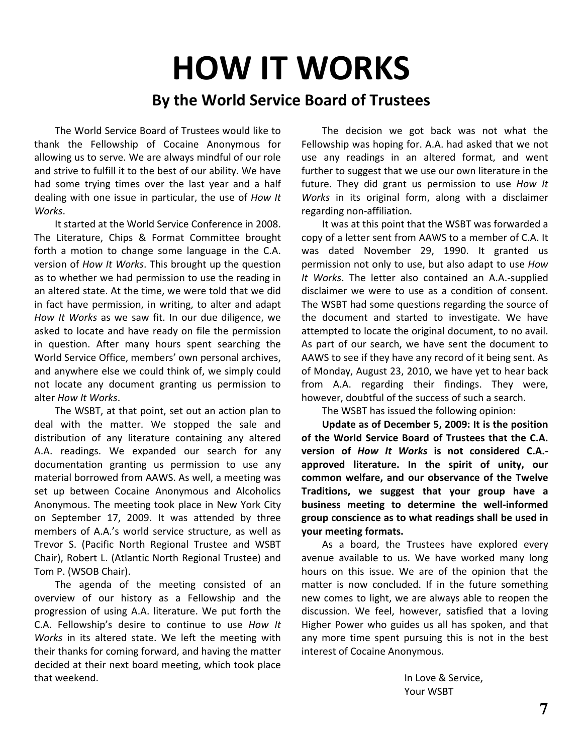# **HOW IT WORKS** By the World Service Board of Trustees

The World Service Board of Trustees would like to thank the Fellowship of Cocaine Anonymous for allowing us to serve. We are always mindful of our role and strive to fulfill it to the best of our ability. We have had some trying times over the last year and a half dealing with one issue in particular, the use of How It Works.

It started at the World Service Conference in 2008. The Literature, Chips & Format Committee brought forth a motion to change some language in the C.A. version of How It Works. This brought up the question as to whether we had permission to use the reading in an altered state. At the time, we were told that we did in fact have permission, in writing, to alter and adapt How It Works as we saw fit. In our due diligence, we asked to locate and have ready on file the permission in question. After many hours spent searching the World Service Office, members' own personal archives, and anywhere else we could think of, we simply could not locate any document granting us permission to alter How It Works.

The WSBT, at that point, set out an action plan to deal with the matter. We stopped the sale and distribution of any literature containing any altered A.A. readings. We expanded our search for any documentation granting us permission to use any material borrowed from AAWS. As well, a meeting was set up between Cocaine Anonymous and Alcoholics Anonymous. The meeting took place in New York City on September 17, 2009. It was attended by three members of A.A.'s world service structure, as well as Trevor S. (Pacific North Regional Trustee and WSBT Chair), Robert L. (Atlantic North Regional Trustee) and Tom P. (WSOB Chair).

The agenda of the meeting consisted of an overview of our history as a Fellowship and the progression of using A.A. literature. We put forth the C.A. Fellowship's desire to continue to use How It Works in its altered state. We left the meeting with their thanks for coming forward, and having the matter decided at their next board meeting, which took place that weekend.

The decision we got back was not what the Fellowship was hoping for. A.A. had asked that we not use any readings in an altered format, and went further to suggest that we use our own literature in the future. They did grant us permission to use How It Works in its original form, along with a disclaimer regarding non-affiliation.

It was at this point that the WSBT was forwarded a copy of a letter sent from AAWS to a member of C.A. It was dated November 29, 1990. It granted us permission not only to use, but also adapt to use How It Works. The letter also contained an A.A.-supplied disclaimer we were to use as a condition of consent. The WSBT had some questions regarding the source of the document and started to investigate. We have attempted to locate the original document, to no avail. As part of our search, we have sent the document to AAWS to see if they have any record of it being sent. As of Monday, August 23, 2010, we have yet to hear back from A.A. regarding their findings. They were, however, doubtful of the success of such a search.

The WSBT has issued the following opinion:

Update as of December 5, 2009: It is the position of the World Service Board of Trustees that the C.A. version of How It Works is not considered C.A.approved literature. In the spirit of unity, our common welfare, and our observance of the Twelve Traditions, we suggest that your group have a business meeting to determine the well-informed group conscience as to what readings shall be used in your meeting formats.

As a board, the Trustees have explored every avenue available to us. We have worked many long hours on this issue. We are of the opinion that the matter is now concluded. If in the future something new comes to light, we are always able to reopen the discussion. We feel, however, satisfied that a loving Higher Power who guides us all has spoken, and that any more time spent pursuing this is not in the best interest of Cocaine Anonymous.

> In Love & Service, Your WSBT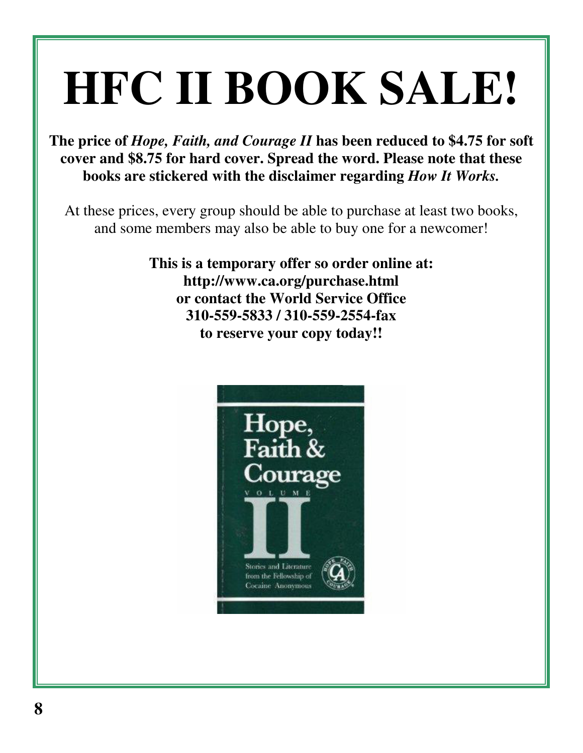# **HFC II BOOK SALE!**

**The price of** *Hope, Faith, and Courage II* **has been reduced to \$4.75 for soft cover and \$8.75 for hard cover. Spread the word. Please note that these books are stickered with the disclaimer regarding** *How It Works.*

At these prices, every group should be able to purchase at least two books, and some members may also be able to buy one for a newcomer!

> **This is a temporary offer so order online at: http://www.ca.org/purchase.html or contact the World Service Office 310-559-5833 / 310-559-2554-fax to reserve your copy today!!**

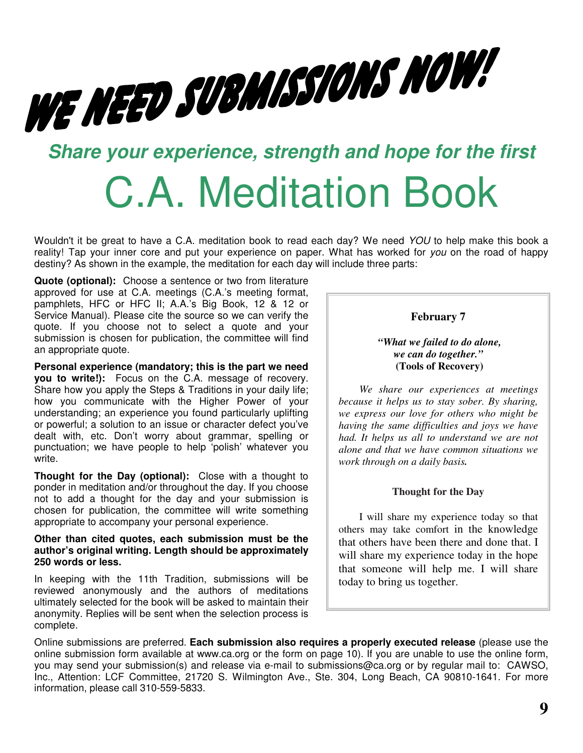# WE NEED SUBMISSIONS NOW!

# *Share your experience, strength and hope for the first*

# C.A. Meditation Book

Wouldn't it be great to have a C.A. meditation book to read each day? We need *YOU* to help make this book a reality! Tap your inner core and put your experience on paper. What has worked for *you* on the road of happy destiny? As shown in the example, the meditation for each day will include three parts:

**Quote (optional):** Choose a sentence or two from literature approved for use at C.A. meetings (C.A.'s meeting format, pamphlets, HFC or HFC II; A.A.'s Big Book, 12 & 12 or Service Manual). Please cite the source so we can verify the quote. If you choose not to select a quote and your submission is chosen for publication, the committee will find an appropriate quote.

**Personal experience (mandatory; this is the part we need you to write!):** Focus on the C.A. message of recovery. Share how you apply the Steps & Traditions in your daily life; how you communicate with the Higher Power of your understanding; an experience you found particularly uplifting or powerful; a solution to an issue or character defect you've dealt with, etc. Don't worry about grammar, spelling or punctuation; we have people to help 'polish' whatever you write.

**Thought for the Day (optional):** Close with a thought to ponder in meditation and/or throughout the day. If you choose not to add a thought for the day and your submission is chosen for publication, the committee will write something appropriate to accompany your personal experience.

#### **Other than cited quotes, each submission must be the author's original writing. Length should be approximately 250 words or less.**

In keeping with the 11th Tradition, submissions will be reviewed anonymously and the authors of meditations ultimately selected for the book will be asked to maintain their anonymity. Replies will be sent when the selection process is complete.

#### **February 7**

*"What we failed to do alone, we can do together."* **(Tools of Recovery)**

*We share our experiences at meetings because it helps us to stay sober. By sharing, we express our love for others who might be having the same difficulties and joys we have had. It helps us all to understand we are not alone and that we have common situations we work through on a daily basis.*

#### **Thought for the Day**

I will share my experience today so that others may take comfort in the knowledge that others have been there and done that. I will share my experience today in the hope that someone will help me. I will share today to bring us together.

Online submissions are preferred. **Each submission also requires a properly executed release** (please use the online submission form available at www.ca.org or the form on page 10). If you are unable to use the online form, you may send your submission(s) and release via e-mail to submissions@ca.org or by regular mail to: CAWSO, Inc., Attention: LCF Committee, 21720 S. Wilmington Ave., Ste. 304, Long Beach, CA 90810-1641. For more information, please call 310-559-5833.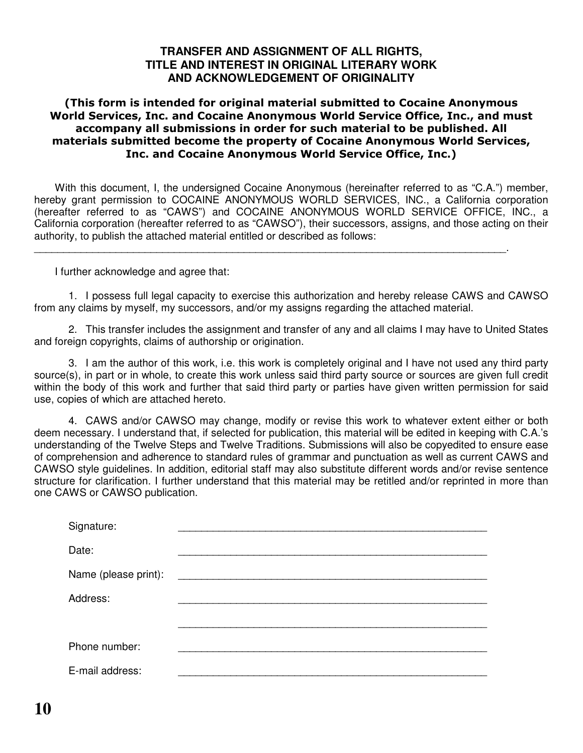#### **TRANSFER AND ASSIGNMENT OF ALL RIGHTS, TITLE AND INTEREST IN ORIGINAL LITERARY WORK AND ACKNOWLEDGEMENT OF ORIGINALITY**

#### (This form is intended for original material submitted to Cocaine Anonymous World Services, Inc. and Cocaine Anonymous World Service Office, Inc., and must accompany all submissions in order for such material to be published. All materials submitted become the property of Cocaine Anonymous World Services, Inc. and Cocaine Anonymous World Service Office, Inc.)

With this document, I, the undersigned Cocaine Anonymous (hereinafter referred to as "C.A.") member, hereby grant permission to COCAINE ANONYMOUS WORLD SERVICES, INC., a California corporation (hereafter referred to as "CAWS") and COCAINE ANONYMOUS WORLD SERVICE OFFICE, INC., a California corporation (hereafter referred to as "CAWSO"), their successors, assigns, and those acting on their authority, to publish the attached material entitled or described as follows:

\_\_\_\_\_\_\_\_\_\_\_\_\_\_\_\_\_\_\_\_\_\_\_\_\_\_\_\_\_\_\_\_\_\_\_\_\_\_\_\_\_\_\_\_\_\_\_\_\_\_\_\_\_\_\_\_\_\_\_\_\_\_\_\_\_\_\_\_\_\_\_\_\_\_\_\_\_\_\_\_\_.

I further acknowledge and agree that:

1. I possess full legal capacity to exercise this authorization and hereby release CAWS and CAWSO from any claims by myself, my successors, and/or my assigns regarding the attached material.

2. This transfer includes the assignment and transfer of any and all claims I may have to United States and foreign copyrights, claims of authorship or origination.

3. I am the author of this work, i.e. this work is completely original and I have not used any third party source(s), in part or in whole, to create this work unless said third party source or sources are given full credit within the body of this work and further that said third party or parties have given written permission for said use, copies of which are attached hereto.

4. CAWS and/or CAWSO may change, modify or revise this work to whatever extent either or both deem necessary. I understand that, if selected for publication, this material will be edited in keeping with C.A.'s understanding of the Twelve Steps and Twelve Traditions. Submissions will also be copyedited to ensure ease of comprehension and adherence to standard rules of grammar and punctuation as well as current CAWS and CAWSO style guidelines. In addition, editorial staff may also substitute different words and/or revise sentence structure for clarification. I further understand that this material may be retitled and/or reprinted in more than one CAWS or CAWSO publication.

| Signature:           |  |
|----------------------|--|
| Date:                |  |
| Name (please print): |  |
| Address:             |  |
|                      |  |
| Phone number:        |  |
| E-mail address:      |  |
|                      |  |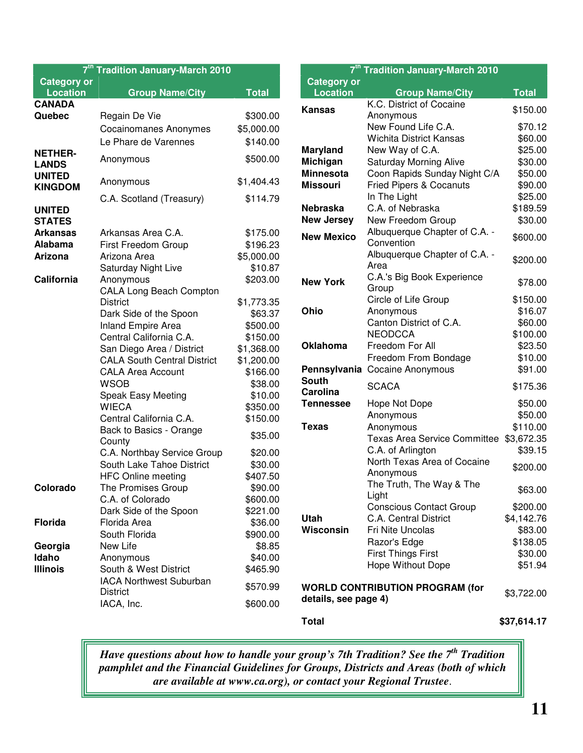|                    | 7 <sup>th</sup> Tradition January-March 2010 |              |
|--------------------|----------------------------------------------|--------------|
| <b>Category or</b> |                                              |              |
| <b>Location</b>    | <b>Group Name/City</b>                       | <b>Total</b> |
| <b>CANADA</b>      |                                              |              |
| Quebec             | Regain De Vie                                | \$300.00     |
|                    | <b>Cocainomanes Anonymes</b>                 | \$5,000.00   |
|                    | Le Phare de Varennes                         | \$140.00     |
| <b>NETHER-</b>     |                                              |              |
| <b>LANDS</b>       | Anonymous                                    | \$500.00     |
| <b>UNITED</b>      | Anonymous                                    | \$1,404.43   |
| <b>KINGDOM</b>     |                                              |              |
|                    | C.A. Scotland (Treasury)                     | \$114.79     |
| <b>UNITED</b>      |                                              |              |
| <b>STATES</b>      |                                              |              |
| <b>Arkansas</b>    | Arkansas Area C.A.                           | \$175.00     |
| Alabama            | First Freedom Group                          | \$196.23     |
| <b>Arizona</b>     | Arizona Area                                 | \$5,000.00   |
|                    | Saturday Night Live                          | \$10.87      |
| California         | Anonymous                                    | \$203.00     |
|                    | <b>CALA Long Beach Compton</b>               |              |
|                    | <b>District</b>                              | \$1,773.35   |
|                    | Dark Side of the Spoon                       | \$63.37      |
|                    | <b>Inland Empire Area</b>                    | \$500.00     |
|                    | Central California C.A.                      | \$150.00     |
|                    | San Diego Area / District                    | \$1,368.00   |
|                    | <b>CALA South Central District</b>           | \$1,200.00   |
|                    |                                              |              |
|                    | <b>CALA Area Account</b>                     | \$166.00     |
|                    | <b>WSOB</b>                                  | \$38.00      |
|                    | <b>Speak Easy Meeting</b>                    | \$10.00      |
|                    | <b>WIECA</b>                                 | \$350.00     |
|                    | Central California C.A.                      | \$150.00     |
|                    | Back to Basics - Orange                      | \$35.00      |
|                    | County                                       |              |
|                    | C.A. Northbay Service Group                  | \$20.00      |
|                    | South Lake Tahoe District                    | \$30.00      |
|                    | <b>HFC Online meeting</b>                    | \$407.50     |
| Colorado           | The Promises Group                           | \$90.00      |
|                    | C.A. of Colorado                             | \$600.00     |
|                    | Dark Side of the Spoon                       | \$221.00     |
| Florida            | Florida Area                                 | \$36.00      |
|                    | South Florida                                | \$900.00     |
| Georgia            | New Life                                     | \$8.85       |
| Idaho              | Anonymous                                    | \$40.00      |
| <b>Illinois</b>    | South & West District                        | \$465.90     |
|                    | <b>IACA Northwest Suburban</b>               |              |
|                    | District                                     | \$570.99     |
|                    | IACA, Inc.                                   | \$600.00     |

|                                       | 7 <sup>th</sup> Tradition January-March 2010 |              |
|---------------------------------------|----------------------------------------------|--------------|
| <b>Category or</b><br><b>Location</b> | <b>Group Name/City</b>                       | <b>Total</b> |
| <b>Kansas</b>                         | K.C. District of Cocaine                     |              |
|                                       | Anonymous                                    | \$150.00     |
|                                       | New Found Life C.A.                          | \$70.12      |
|                                       | <b>Wichita District Kansas</b>               | \$60.00      |
| <b>Maryland</b>                       | New Way of C.A.                              | \$25.00      |
| Michigan                              | <b>Saturday Morning Alive</b>                | \$30.00      |
| <b>Minnesota</b>                      | Coon Rapids Sunday Night C/A                 | \$50.00      |
| <b>Missouri</b>                       | <b>Fried Pipers &amp; Cocanuts</b>           | \$90.00      |
|                                       | In The Light                                 | \$25.00      |
| <b>Nebraska</b>                       | C.A. of Nebraska                             | \$189.59     |
| <b>New Jersey</b>                     | New Freedom Group                            | \$30.00      |
| <b>New Mexico</b>                     | Albuquerque Chapter of C.A. -<br>Convention  | \$600.00     |
|                                       | Albuquerque Chapter of C.A. -<br>Area        | \$200.00     |
| <b>New York</b>                       | C.A.'s Big Book Experience<br>Group          | \$78.00      |
|                                       | Circle of Life Group                         | \$150.00     |
| Ohio                                  | Anonymous                                    | \$16.07      |
|                                       | Canton District of C.A.                      | \$60.00      |
|                                       | <b>NEODCCA</b>                               | \$100.00     |
| <b>Oklahoma</b>                       | Freedom For All                              | \$23.50      |
|                                       | Freedom From Bondage                         | \$10.00      |
|                                       | Pennsylvania Cocaine Anonymous               | \$91.00      |
| <b>South</b><br><b>Carolina</b>       | <b>SCACA</b>                                 | \$175.36     |
| <b>Tennessee</b>                      | Hope Not Dope                                | \$50.00      |
|                                       | Anonymous                                    | \$50.00      |
| <b>Texas</b>                          | Anonymous                                    | \$110.00     |
|                                       | <b>Texas Area Service Committee</b>          | \$3,672.35   |
|                                       | C.A. of Arlington                            | \$39.15      |
|                                       | North Texas Area of Cocaine<br>Anonymous     | \$200.00     |
|                                       | The Truth, The Way & The<br>Light            | \$63.00      |
|                                       | <b>Conscious Contact Group</b>               | \$200.00     |
| Utah                                  | C.A. Central District                        | \$4,142.76   |
| Wisconsin                             | Fri Nite Uncolas                             | \$83.00      |
|                                       | Razor's Edge                                 | \$138.05     |
|                                       | <b>First Things First</b>                    | \$30.00      |
|                                       | Hope Without Dope                            | \$51.94      |
| details, see page 4)                  | <b>WORLD CONTRIBUTION PROGRAM (for</b>       | \$3,722.00   |
| <b>Total</b>                          |                                              | \$37,614.17  |

*Have questions about how to handle your group's 7th Tradition? See the 7 th Tradition pamphlet and the Financial Guidelines for Groups, Districts and Areas (both of which are available at www.ca.org), or contact your Regional Trustee*.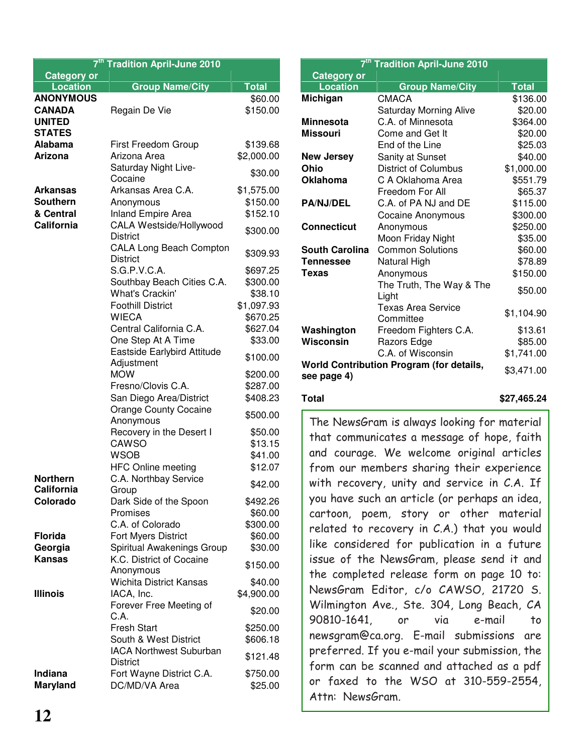| 7 <sup>th</sup> Tradition April-June 2010 |                                                        |              |  |
|-------------------------------------------|--------------------------------------------------------|--------------|--|
| <b>Category or</b>                        |                                                        |              |  |
| <b>Location</b>                           | <b>Group Name/City</b>                                 | <b>Total</b> |  |
| <b>ANONYMOUS</b>                          |                                                        | \$60.00      |  |
| <b>CANADA</b>                             | Regain De Vie                                          | \$150.00     |  |
| <b>UNITED</b>                             |                                                        |              |  |
| <b>STATES</b>                             |                                                        |              |  |
| <b>Alabama</b>                            | <b>First Freedom Group</b>                             | \$139.68     |  |
| <b>Arizona</b>                            | Arizona Area                                           | \$2,000.00   |  |
|                                           | Saturday Night Live-<br>Cocaine                        | \$30.00      |  |
| <b>Arkansas</b>                           | Arkansas Area C.A.                                     | \$1,575.00   |  |
| <b>Southern</b>                           | Anonymous                                              | \$150.00     |  |
| & Central                                 | <b>Inland Empire Area</b>                              | \$152.10     |  |
| California                                | CALA Westside/Hollywood                                |              |  |
|                                           | <b>District</b>                                        | \$300.00     |  |
|                                           | <b>CALA Long Beach Compton</b>                         |              |  |
|                                           | <b>District</b>                                        | \$309.93     |  |
|                                           | S.G.P.V.C.A.                                           | \$697.25     |  |
|                                           | Southbay Beach Cities C.A.                             | \$300.00     |  |
|                                           | <b>What's Crackin'</b>                                 | \$38.10      |  |
|                                           | <b>Foothill District</b>                               | \$1,097.93   |  |
|                                           | <b>WIECA</b>                                           | \$670.25     |  |
|                                           | Central California C.A.                                | \$627.04     |  |
|                                           | One Step At A Time                                     | \$33.00      |  |
|                                           | Eastside Earlybird Attitude<br>Adjustment              | \$100.00     |  |
|                                           | <b>MOW</b>                                             | \$200.00     |  |
|                                           | Fresno/Clovis C.A.                                     | \$287.00     |  |
|                                           | San Diego Area/District                                | \$408.23     |  |
|                                           | <b>Orange County Cocaine</b><br>Anonymous              | \$500.00     |  |
|                                           | Recovery in the Desert I                               | \$50.00      |  |
|                                           | CAWSO                                                  | \$13.15      |  |
|                                           | <b>WSOB</b>                                            | \$41.00      |  |
|                                           | <b>HFC Online meeting</b>                              | \$12.07      |  |
| <b>Northern</b>                           | C.A. Northbay Service                                  | \$42.00      |  |
| California                                | Group                                                  |              |  |
| Colorado                                  | Dark Side of the Spoon                                 | \$492.26     |  |
|                                           | Promises                                               | \$60.00      |  |
|                                           | C.A. of Colorado                                       | \$300.00     |  |
| <b>Florida</b>                            | <b>Fort Myers District</b>                             | \$60.00      |  |
| Georgia<br><b>Kansas</b>                  | Spiritual Awakenings Group<br>K.C. District of Cocaine | \$30.00      |  |
|                                           | Anonymous                                              | \$150.00     |  |
|                                           | <b>Wichita District Kansas</b>                         | \$40.00      |  |
| <b>Illinois</b>                           | IACA, Inc.                                             | \$4,900.00   |  |
|                                           | Forever Free Meeting of                                | \$20.00      |  |
|                                           | C.A.                                                   |              |  |
|                                           | <b>Fresh Start</b>                                     | \$250.00     |  |
|                                           | South & West District                                  | \$606.18     |  |
|                                           | <b>IACA Northwest Suburban</b><br><b>District</b>      | \$121.48     |  |
| Indiana                                   | Fort Wayne District C.A.                               | \$750.00     |  |
| <b>Maryland</b>                           | DC/MD/VA Area                                          | \$25.00      |  |

| 7 <sup>th</sup> Tradition April-June 2010 |                                          |              |  |
|-------------------------------------------|------------------------------------------|--------------|--|
| <b>Category or</b>                        |                                          |              |  |
| <b>Location</b>                           | <b>Group Name/City</b>                   | <b>Total</b> |  |
| Michigan                                  | <b>CMACA</b>                             | \$136.00     |  |
|                                           | <b>Saturday Morning Alive</b>            | \$20.00      |  |
| Minnesota                                 | C.A. of Minnesota                        | \$364.00     |  |
| Missouri                                  | Come and Get It                          | \$20.00      |  |
|                                           | End of the Line                          | \$25.03      |  |
| New Jersey                                | Sanity at Sunset                         | \$40.00      |  |
| Ohio                                      | <b>District of Columbus</b>              | \$1,000.00   |  |
| Oklahoma                                  | C A Oklahoma Area                        | \$551.79     |  |
|                                           | Freedom For All                          | \$65.37      |  |
| <b>PA/NJ/DEL</b>                          | C.A. of PA NJ and DE                     | \$115.00     |  |
|                                           | <b>Cocaine Anonymous</b>                 | \$300.00     |  |
| Connecticut                               | Anonymous                                | \$250.00     |  |
|                                           | Moon Friday Night                        | \$35.00      |  |
| South Carolina                            | <b>Common Solutions</b>                  | \$60.00      |  |
| <b>Tennessee</b>                          | Natural High                             | \$78.89      |  |
| Texas                                     | Anonymous                                | \$150.00     |  |
|                                           | The Truth, The Way & The<br>Light        | \$50.00      |  |
|                                           | <b>Texas Area Service</b><br>Committee   | \$1,104.90   |  |
| Washington                                | Freedom Fighters C.A.                    | \$13.61      |  |
| Wisconsin                                 | Razors Edge                              | \$85.00      |  |
|                                           | C.A. of Wisconsin                        | \$1,741.00   |  |
| see page 4)                               | World Contribution Program (for details, | \$3,471.00   |  |

#### **Total \$27,465.24**

The NewsGram is always looking for material that communicates a message of hope, faith and courage. We welcome original articles from our members sharing their experience with recovery, unity and service in C.A. If you have such an article (or perhaps an idea, cartoon, poem, story or other material related to recovery in C.A.) that you would like considered for publication in a future issue of the NewsGram, please send it and the completed release form on page 10 to: NewsGram Editor, c/o CAWSO, 21720 S. Wilmington Ave., Ste. 304, Long Beach, CA 90810-1641, or via e-mail  $to$ newsgram@ca.org. E-mail submissions are preferred. If you e-mail your submission, the form can be scanned and attached as a pdf or faxed to the WSO at 310-559-2554, Attn: NewsGram.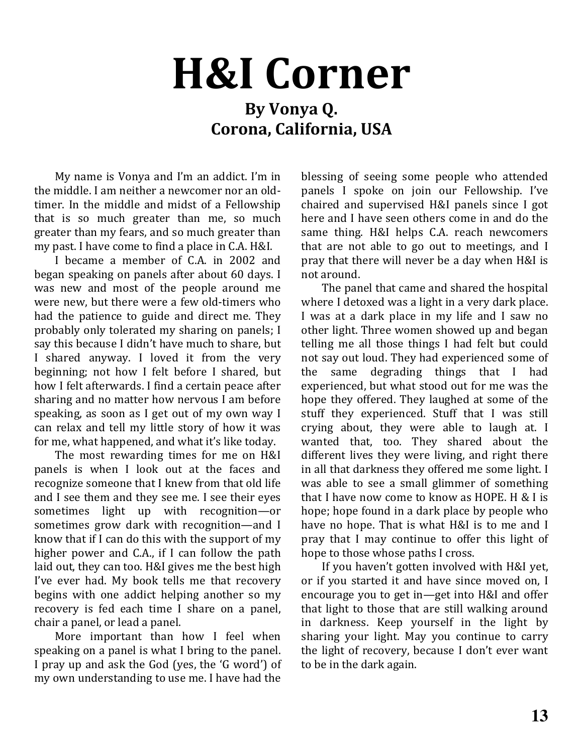# **H&I Corner**

### By Vonya Q. Corona, California, USA

My name is Vonya and I'm an addict. I'm in the middle. I am neither a newcomer nor an oldtimer. In the middle and midst of a Fellowship that is so much greater than me, so much greater than my fears, and so much greater than my past. I have come to find a place in C.A. H&I.

I became a member of C.A. in 2002 and began speaking on panels after about 60 davs. I was new and most of the people around me were new, but there were a few old-timers who had the patience to guide and direct me. They probably only tolerated my sharing on panels; I say this because I didn't have much to share, but I shared anyway. I loved it from the very beginning; not how I felt before I shared, but how I felt afterwards. I find a certain peace after sharing and no matter how nervous I am before speaking, as soon as I get out of my own way I can relax and tell my little story of how it was for me, what happened, and what it's like today.

The most rewarding times for me on H&I panels is when I look out at the faces and recognize someone that I knew from that old life and I see them and they see me. I see their eyes sometimes light up with recognition-or sometimes grow dark with recognition—and I know that if I can do this with the support of my higher power and C.A., if I can follow the path laid out, they can too. H&I gives me the best high I've ever had. My book tells me that recovery begins with one addict helping another so my recovery is fed each time I share on a panel, chair a panel, or lead a panel.

More important than how I feel when speaking on a panel is what I bring to the panel. I pray up and ask the God (yes, the 'G word') of my own understanding to use me. I have had the blessing of seeing some people who attended panels I spoke on join our Fellowship. I've chaired and supervised H&I panels since I got here and I have seen others come in and do the same thing. H&I helps C.A. reach newcomers that are not able to go out to meetings, and I pray that there will never be a day when H&I is not around.

The panel that came and shared the hospital where I detoxed was a light in a very dark place. I was at a dark place in my life and I saw no other light. Three women showed up and began telling me all those things I had felt but could not say out loud. They had experienced some of the same degrading things that I had experienced, but what stood out for me was the hope they offered. They laughed at some of the stuff they experienced. Stuff that I was still crying about, they were able to laugh at. I wanted that, too. They shared about the different lives they were living, and right there in all that darkness they offered me some light. I was able to see a small glimmer of something that I have now come to know as HOPE. H & I is hope; hope found in a dark place by people who have no hope. That is what H&I is to me and I pray that I may continue to offer this light of hope to those whose paths I cross.

If you haven't gotten involved with H&I vet. or if you started it and have since moved on, I encourage you to get in—get into H&I and offer that light to those that are still walking around in darkness. Keep yourself in the light by sharing your light. May you continue to carry the light of recovery, because I don't ever want to be in the dark again.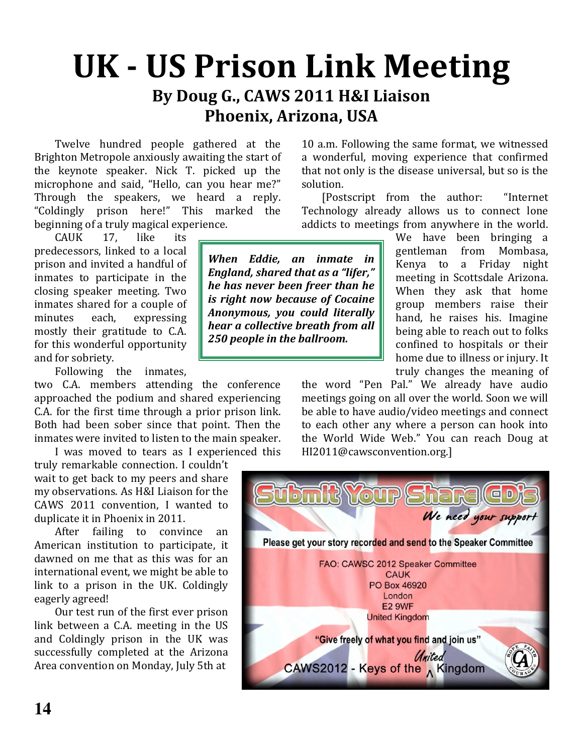## **UK - US Prison Link Meeting** By Doug G., CAWS 2011 H&I Liaison Phoenix, Arizona, USA

Twelve hundred people gathered at the Brighton Metropole anxiously awaiting the start of the keynote speaker. Nick T. picked up the microphone and said, "Hello, can you hear me?" Through the speakers, we heard a reply. "Coldingly prison here!" This marked the beginning of a truly magical experience.

**CAUK** 17. like its predecessors, linked to a local prison and invited a handful of inmates to participate in the closing speaker meeting. Two inmates shared for a couple of minutes each. expressing mostly their gratitude to C.A. for this wonderful opportunity and for sobriety.

Following the inmates,

two C.A. members attending the conference approached the podium and shared experiencing C.A. for the first time through a prior prison link. Both had been sober since that point. Then the inmates were invited to listen to the main speaker.

I was moved to tears as I experienced this truly remarkable connection. I couldn't

wait to get back to my peers and share my observations. As H&I Liaison for the CAWS 2011 convention, I wanted to duplicate it in Phoenix in 2011.

After failing to convince an American institution to participate, it dawned on me that as this was for an international event, we might be able to link to a prison in the UK. Coldingly eagerly agreed!

Our test run of the first ever prison link between a C.A. meeting in the US and Coldingly prison in the UK was successfully completed at the Arizona Area convention on Monday, July 5th at

10 a.m. Following the same format, we witnessed a wonderful, moving experience that confirmed that not only is the disease universal, but so is the solution.

[Postscript from the author: "Internet Technology already allows us to connect lone addicts to meetings from anywhere in the world.

When Eddie, an inmate in **England, shared that as a "lifer,"** he has never been freer than he is right now because of Cocaine Anonymous, you could literally hear a collective breath from all 250 people in the ballroom.

We have been bringing a gentleman from Mombasa. Kenya to a Friday night meeting in Scottsdale Arizona. When they ask that home group members raise their hand, he raises his. Imagine being able to reach out to folks confined to hospitals or their home due to illness or injury. It truly changes the meaning of

the word "Pen Pal." We already have audio meetings going on all over the world. Soon we will be able to have audio/video meetings and connect to each other any where a person can hook into the World Wide Web." You can reach Doug at HI2011@cawsconvention.org.]

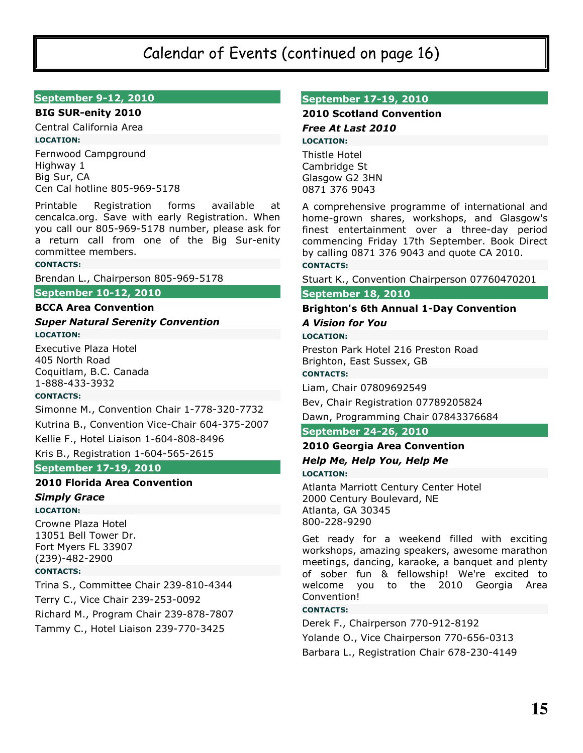#### Calendar of Events (continued on page 16)

#### **September 9-12, 2010**

#### **BIG SUR-enity 2010**

Central California Area **LOCATION:** Fernwood Campground

Highway 1 Big Sur, CA Cen Cal hotline 805-969-5178

Printable Registration forms available at cencalca.org. Save with early Registration. When you call our 805-969-5178 number, please ask for a return call from one of the Big Sur-enity committee members.

#### **CONTACTS:**

Brendan L., Chairperson 805-969-5178

#### **September 10-12, 2010**

#### **BCCA Area Convention**

#### **Super Natural Serenity Convention LOCATION:**

**Executive Plaza Hotel** 405 North Road Coquitlam, B.C. Canada 1-888-433-3932

#### **CONTACTS:**

Simonne M., Convention Chair 1-778-320-7732

Kutrina B., Convention Vice-Chair 604-375-2007

Kellie F., Hotel Liaison 1-604-808-8496

#### Kris B., Registration 1-604-565-2615

**September 17-19, 2010** 

#### **2010 Florida Area Convention**

#### **Simply Grace LOCATION:**

Crowne Plaza Hotel 13051 Bell Tower Dr. Fort Myers FL 33907 (239)-482-2900

#### **CONTACTS:**

Trina S., Committee Chair 239-810-4344 Terry C., Vice Chair 239-253-0092 Richard M., Program Chair 239-878-7807 Tammy C., Hotel Liaison 239-770-3425

#### **September 17-19, 2010**

#### **2010 Scotland Convention**

Free At Last 2010 **LOCATION:** 

Thistle Hotel Cambridge St Glasgow G2 3HN 0871 376 9043

A comprehensive programme of international and home-grown shares, workshops, and Glasgow's finest entertainment over a three-day period commencing Friday 17th September. Book Direct by calling 0871 376 9043 and quote CA 2010. **CONTACTS:** 

#### Stuart K., Convention Chairperson 07760470201

#### September 18, 2010

#### **Brighton's 6th Annual 1-Day Convention A Vision for You**

**LOCATION:** 

Preston Park Hotel 216 Preston Road Brighton, East Sussex, GB

#### **CONTACTS:**

Liam, Chair 07809692549

Bev, Chair Registration 07789205824

Dawn, Programming Chair 07843376684

#### **September 24-26, 2010**

#### 2010 Georgia Area Convention Help Me, Help You, Help Me

**LOCATION:** 

Atlanta Marriott Century Center Hotel 2000 Century Boulevard, NE Atlanta, GA 30345 800-228-9290

Get ready for a weekend filled with exciting workshops, amazing speakers, awesome marathon meetings, dancing, karaoke, a banquet and plenty of sober fun & fellowship! We're excited to welcome you to the 2010 Georgia Area Convention!

#### **CONTACTS:**

Derek F., Chairperson 770-912-8192 Yolande O., Vice Chairperson 770-656-0313 Barbara L., Registration Chair 678-230-4149